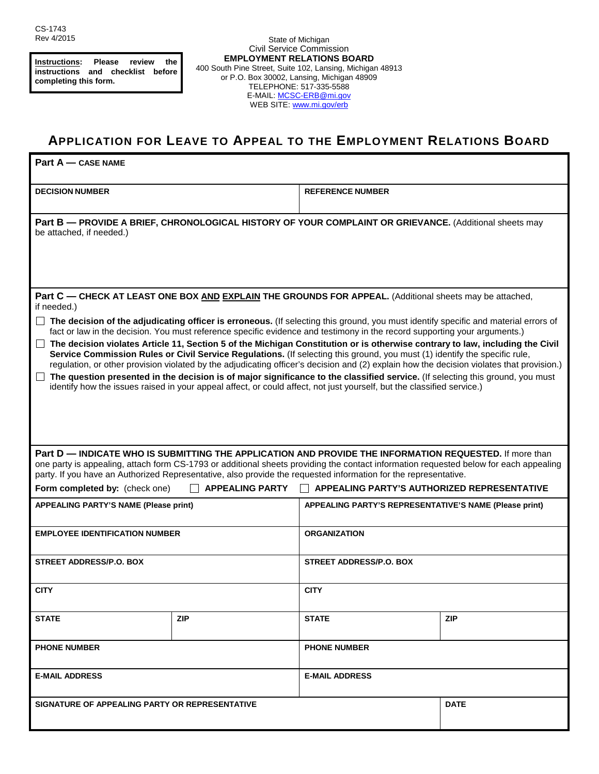**Instructions: Please review the instructions and checklist before completing this form.**

State of Michigan Civil Service Commission **EMPLOYMENT RELATIONS BOARD** 400 South Pine Street, Suite 102, Lansing, Michigan 48913 or P.O. Box 30002, Lansing, Michigan 48909 TELEPHONE: 517-335-5588 E-MAIL: MCSC-ERB@mi.gov WEB SITE: [www.mi.gov/erb](http://www.mi.gov/erb)

## **APPLICATION FOR LEAVE TO APPEAL TO THE EMPLOYMENT RELATIONS BOARD**

| Part A - CASE NAME                                                                                                                                                                                                                                                                                                                                                                                                                                                                                                                                                                                                                                                                                                                                                                                                                                                                                                                                |            |                                                        |             |
|---------------------------------------------------------------------------------------------------------------------------------------------------------------------------------------------------------------------------------------------------------------------------------------------------------------------------------------------------------------------------------------------------------------------------------------------------------------------------------------------------------------------------------------------------------------------------------------------------------------------------------------------------------------------------------------------------------------------------------------------------------------------------------------------------------------------------------------------------------------------------------------------------------------------------------------------------|------------|--------------------------------------------------------|-------------|
| <b>DECISION NUMBER</b>                                                                                                                                                                                                                                                                                                                                                                                                                                                                                                                                                                                                                                                                                                                                                                                                                                                                                                                            |            | <b>REFERENCE NUMBER</b>                                |             |
| Part B - PROVIDE A BRIEF, CHRONOLOGICAL HISTORY OF YOUR COMPLAINT OR GRIEVANCE. (Additional sheets may<br>be attached, if needed.)                                                                                                                                                                                                                                                                                                                                                                                                                                                                                                                                                                                                                                                                                                                                                                                                                |            |                                                        |             |
| Part C - CHECK AT LEAST ONE BOX AND EXPLAIN THE GROUNDS FOR APPEAL. (Additional sheets may be attached,<br>if needed.)                                                                                                                                                                                                                                                                                                                                                                                                                                                                                                                                                                                                                                                                                                                                                                                                                            |            |                                                        |             |
| $\Box$ The decision of the adjudicating officer is erroneous. (If selecting this ground, you must identify specific and material errors of<br>fact or law in the decision. You must reference specific evidence and testimony in the record supporting your arguments.)<br>□ The decision violates Article 11, Section 5 of the Michigan Constitution or is otherwise contrary to law, including the Civil<br>Service Commission Rules or Civil Service Regulations. (If selecting this ground, you must (1) identify the specific rule,<br>regulation, or other provision violated by the adjudicating officer's decision and (2) explain how the decision violates that provision.)<br>The question presented in the decision is of major significance to the classified service. (If selecting this ground, you must<br>identify how the issues raised in your appeal affect, or could affect, not just yourself, but the classified service.) |            |                                                        |             |
| Part D — INDICATE WHO IS SUBMITTING THE APPLICATION AND PROVIDE THE INFORMATION REQUESTED. If more than<br>one party is appealing, attach form CS-1793 or additional sheets providing the contact information requested below for each appealing<br>party. If you have an Authorized Representative, also provide the requested information for the representative.                                                                                                                                                                                                                                                                                                                                                                                                                                                                                                                                                                               |            |                                                        |             |
| Form completed by: (check one)<br><b>APPEALING PARTY</b><br>│ │ APPEALING PARTY'S AUTHORIZED REPRESENTATIVE                                                                                                                                                                                                                                                                                                                                                                                                                                                                                                                                                                                                                                                                                                                                                                                                                                       |            |                                                        |             |
| <b>APPEALING PARTY'S NAME (Please print)</b>                                                                                                                                                                                                                                                                                                                                                                                                                                                                                                                                                                                                                                                                                                                                                                                                                                                                                                      |            | APPEALING PARTY'S REPRESENTATIVE'S NAME (Please print) |             |
| <b>EMPLOYEE IDENTIFICATION NUMBER</b>                                                                                                                                                                                                                                                                                                                                                                                                                                                                                                                                                                                                                                                                                                                                                                                                                                                                                                             |            | <b>ORGANIZATION</b>                                    |             |
| <b>STREET ADDRESS/P.O. BOX</b>                                                                                                                                                                                                                                                                                                                                                                                                                                                                                                                                                                                                                                                                                                                                                                                                                                                                                                                    |            | <b>STREET ADDRESS/P.O. BOX</b>                         |             |
| <b>CITY</b>                                                                                                                                                                                                                                                                                                                                                                                                                                                                                                                                                                                                                                                                                                                                                                                                                                                                                                                                       |            | <b>CITY</b>                                            |             |
| <b>STATE</b>                                                                                                                                                                                                                                                                                                                                                                                                                                                                                                                                                                                                                                                                                                                                                                                                                                                                                                                                      | <b>ZIP</b> | <b>STATE</b>                                           | <b>ZIP</b>  |
| <b>PHONE NUMBER</b>                                                                                                                                                                                                                                                                                                                                                                                                                                                                                                                                                                                                                                                                                                                                                                                                                                                                                                                               |            | <b>PHONE NUMBER</b>                                    |             |
| <b>E-MAIL ADDRESS</b>                                                                                                                                                                                                                                                                                                                                                                                                                                                                                                                                                                                                                                                                                                                                                                                                                                                                                                                             |            | <b>E-MAIL ADDRESS</b>                                  |             |
| SIGNATURE OF APPEALING PARTY OR REPRESENTATIVE                                                                                                                                                                                                                                                                                                                                                                                                                                                                                                                                                                                                                                                                                                                                                                                                                                                                                                    |            |                                                        | <b>DATE</b> |